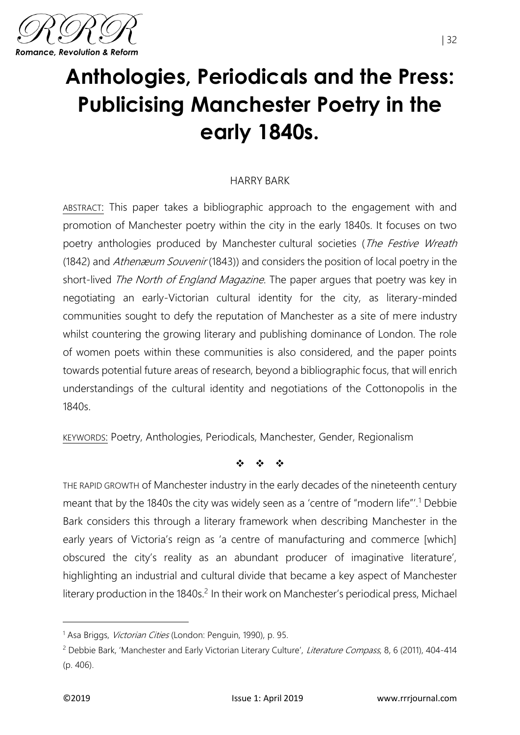

# **Anthologies, Periodicals and the Press: Publicising Manchester Poetry in the early 1840s.**

### HARRY BARK

ABSTRACT: This paper takes a bibliographic approach to the engagement with and promotion of Manchester poetry within the city in the early 1840s. It focuses on two poetry anthologies produced by Manchester cultural societies (The Festive Wreath (1842) and *Athenæum Souvenir* (1843)) and considers the position of local poetry in the short-lived *The North of England Magazine*. The paper argues that poetry was key in negotiating an early-Victorian cultural identity for the city, as literary-minded communities sought to defy the reputation of Manchester as a site of mere industry whilst countering the growing literary and publishing dominance of London. The role of women poets within these communities is also considered, and the paper points towards potential future areas of research, beyond a bibliographic focus, that will enrich understandings of the cultural identity and negotiations of the Cottonopolis in the 1840s.

KEYWORDS: Poetry, Anthologies, Periodicals, Manchester, Gender, Regionalism

❖ ❖ ❖

THE RAPID GROWTH of Manchester industry in the early decades of the nineteenth century meant that by the 1840s the city was widely seen as a 'centre of "modern life"'.<sup>1</sup> Debbie Bark considers this through a literary framework when describing Manchester in the early years of Victoria's reign as 'a centre of manufacturing and commerce [which] obscured the city's reality as an abundant producer of imaginative literature', highlighting an industrial and cultural divide that became a key aspect of Manchester literary production in the 1840s.<sup>2</sup> In their work on Manchester's periodical press, Michael

<sup>&</sup>lt;sup>1</sup> Asa Briggs, *Victorian Cities* (London: Penguin, 1990), p. 95.

<sup>&</sup>lt;sup>2</sup> Debbie Bark, 'Manchester and Early Victorian Literary Culture', Literature Compass, 8, 6 (2011), 404-414 (p. 406).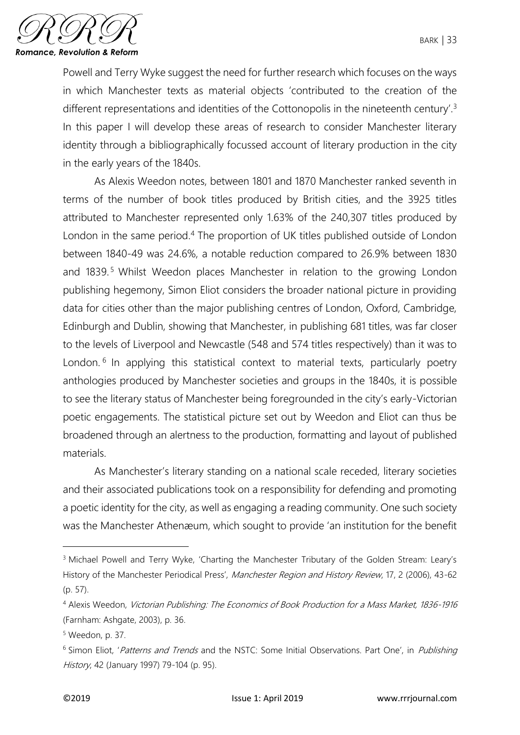

Powell and Terry Wyke suggest the need for further research which focuses on the ways in which Manchester texts as material objects 'contributed to the creation of the different representations and identities of the Cottonopolis in the nineteenth century'.<sup>3</sup> In this paper I will develop these areas of research to consider Manchester literary identity through a bibliographically focussed account of literary production in the city in the early years of the 1840s.

As Alexis Weedon notes, between 1801 and 1870 Manchester ranked seventh in terms of the number of book titles produced by British cities, and the 3925 titles attributed to Manchester represented only 1.63% of the 240,307 titles produced by London in the same period.<sup>4</sup> The proportion of UK titles published outside of London between 1840-49 was 24.6%, a notable reduction compared to 26.9% between 1830 and 1839.<sup>5</sup> Whilst Weedon places Manchester in relation to the growing London publishing hegemony, Simon Eliot considers the broader national picture in providing data for cities other than the major publishing centres of London, Oxford, Cambridge, Edinburgh and Dublin, showing that Manchester, in publishing 681 titles, was far closer to the levels of Liverpool and Newcastle (548 and 574 titles respectively) than it was to London.<sup>6</sup> In applying this statistical context to material texts, particularly poetry anthologies produced by Manchester societies and groups in the 1840s, it is possible to see the literary status of Manchester being foregrounded in the city's early-Victorian poetic engagements. The statistical picture set out by Weedon and Eliot can thus be broadened through an alertness to the production, formatting and layout of published materials.

As Manchester's literary standing on a national scale receded, literary societies and their associated publications took on a responsibility for defending and promoting a poetic identity for the city, as well as engaging a reading community. One such society was the Manchester Athenæum, which sought to provide 'an institution for the benefit

<sup>&</sup>lt;sup>3</sup> Michael Powell and Terry Wyke, 'Charting the Manchester Tributary of the Golden Stream: Leary's History of the Manchester Periodical Press', Manchester Region and History Review, 17, 2 (2006), 43-62 (p. 57).

<sup>4</sup> Alexis Weedon, Victorian Publishing: The Economics of Book Production for a Mass Market, 1836-1916 (Farnham: Ashgate, 2003), p. 36.

<sup>5</sup> Weedon, p. 37.

<sup>&</sup>lt;sup>6</sup> Simon Eliot, 'Patterns and Trends and the NSTC: Some Initial Observations. Part One', in Publishing History, 42 (January 1997) 79-104 (p. 95).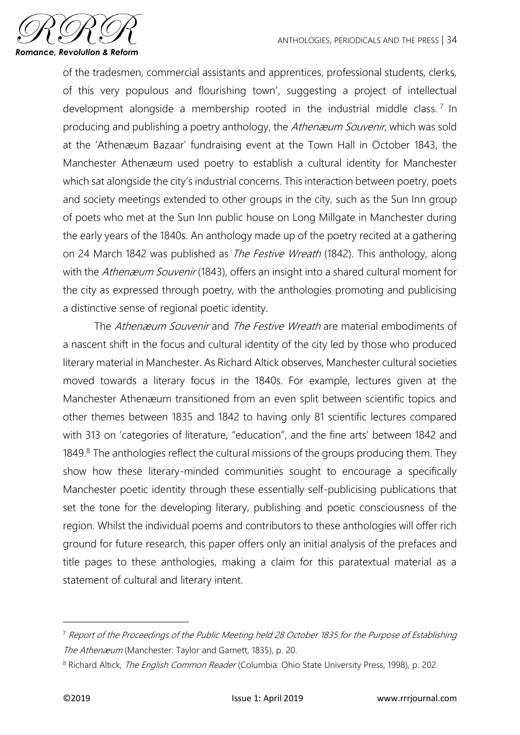

of the tradesmen, commercial assistants and apprentices, professional students, clerks, of this very populous and flourishing town', suggesting a project of intellectual development alongside a membership rooted in the industrial middle class.<sup>7</sup> In producing and publishing a poetry anthology, the Athen *zouvenir*, which was sold at the 'Athenæum Bazaar' fundraising event at the Town Hall in October 1843, the Manchester Athenæum used poetry to establish a cultural identity for Manchester which sat alongside the city's industrial concerns. This interaction between poetry, poets and society meetings extended to other groups in the city, such as the Sun Inn group of poets who met at the Sun Inn public house on Long Millgate in Manchester during the early years of the 1840s. An anthology made up of the poetry recited at a gathering on 24 March 1842 was published as *The Festive Wreath* (1842). This anthology, along with the Athenæum Souvenir (1843), offers an insight into a shared cultural moment for the city as expressed through poetry, with the anthologies promoting and publicising a distinctive sense of regional poetic identity.

The Athenæum Souvenir and The Festive Wreath are material embodiments of a nascent shift in the focus and cultural identity of the city led by those who produced literary material in Manchester. As Richard Altick observes, Manchester cultural societies moved towards a literary focus in the 1840s. For example, lectures given at the Manchester Athenæum transitioned from an even split between scientific topics and other themes between 1835 and 1842 to having only 81 scientific lectures compared with 313 on 'categories of literature, "education", and the fine arts' between 1842 and 1849.<sup>8</sup> The anthologies reflect the cultural missions of the groups producing them. They show how these literary-minded communities sought to encourage a specifically Manchester poetic identity through these essentially self-publicising publications that set the tone for the developing literary, publishing and poetic consciousness of the region. Whilst the individual poems and contributors to these anthologies will offer rich ground for future research, this paper offers only an initial analysis of the prefaces and title pages to these anthologies, making a claim for this paratextual material as a statement of cultural and literary intent.

<sup>&</sup>lt;sup>7</sup> Report of the Proceedings of the Public Meeting held 28 October 1835 for the Purpose of Establishing The Athenæum (Manchester: Taylor and Garnett, 1835), p. 20.

<sup>&</sup>lt;sup>8</sup> Richard Altick, *The English Common Reader* (Columbia: Ohio State University Press, 1998), p. 202.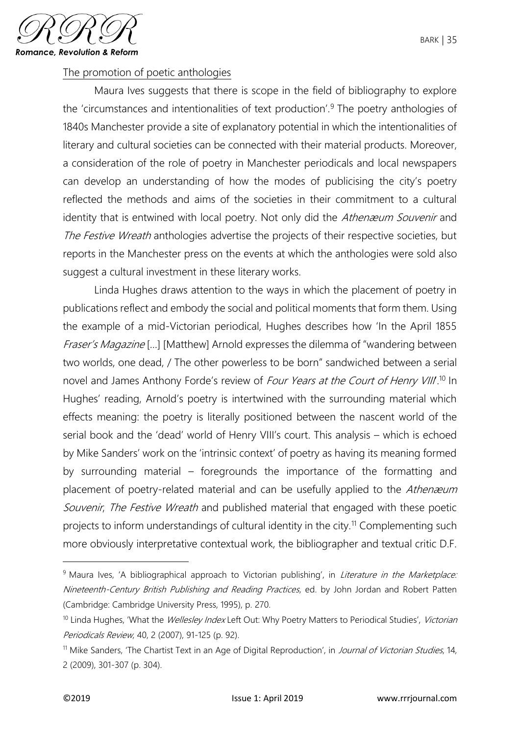

# The promotion of poetic anthologies

Maura Ives suggests that there is scope in the field of bibliography to explore the 'circumstances and intentionalities of text production'.<sup>9</sup> The poetry anthologies of 1840s Manchester provide a site of explanatory potential in which the intentionalities of literary and cultural societies can be connected with their material products. Moreover, a consideration of the role of poetry in Manchester periodicals and local newspapers can develop an understanding of how the modes of publicising the city's poetry reflected the methods and aims of the societies in their commitment to a cultural identity that is entwined with local poetry. Not only did the Athenæum Souvenir and The Festive Wreath anthologies advertise the projects of their respective societies, but reports in the Manchester press on the events at which the anthologies were sold also suggest a cultural investment in these literary works.

Linda Hughes draws attention to the ways in which the placement of poetry in publications reflect and embody the social and political moments that form them. Using the example of a mid-Victorian periodical, Hughes describes how 'In the April 1855 Fraser's Magazine [...] [Matthew] Arnold expresses the dilemma of "wandering between two worlds, one dead, / The other powerless to be born" sandwiched between a serial novel and James Anthony Forde's review of *Four Years at the Court of Henry VIII*.<sup>10</sup> In Hughes' reading, Arnold's poetry is intertwined with the surrounding material which effects meaning: the poetry is literally positioned between the nascent world of the serial book and the 'dead' world of Henry VIII's court. This analysis – which is echoed by Mike Sanders' work on the 'intrinsic context' of poetry as having its meaning formed by surrounding material – foregrounds the importance of the formatting and placement of poetry-related material and can be usefully applied to the Athenæum Souvenir, The Festive Wreath and published material that engaged with these poetic projects to inform understandings of cultural identity in the city.<sup>11</sup> Complementing such more obviously interpretative contextual work, the bibliographer and textual critic D.F.

<sup>&</sup>lt;sup>9</sup> Maura Ives, 'A bibliographical approach to Victorian publishing', in *Literature in the Marketplace:* Nineteenth-Century British Publishing and Reading Practices, ed. by John Jordan and Robert Patten (Cambridge: Cambridge University Press, 1995), p. 270.

<sup>&</sup>lt;sup>10</sup> Linda Hughes, 'What the *Wellesley Index* Left Out: Why Poetry Matters to Periodical Studies', Victorian Periodicals Review, 40, 2 (2007), 91-125 (p. 92).

<sup>&</sup>lt;sup>11</sup> Mike Sanders, 'The Chartist Text in an Age of Digital Reproduction', in Journal of Victorian Studies, 14, 2 (2009), 301-307 (p. 304).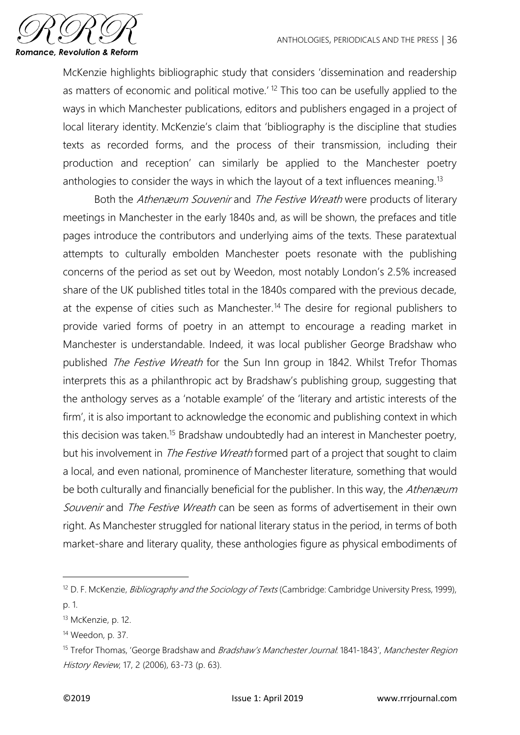

McKenzie highlights bibliographic study that considers 'dissemination and readership as matters of economic and political motive.<sup>' 12</sup> This too can be usefully applied to the ways in which Manchester publications, editors and publishers engaged in a project of local literary identity. McKenzie's claim that 'bibliography is the discipline that studies texts as recorded forms, and the process of their transmission, including their production and reception' can similarly be applied to the Manchester poetry anthologies to consider the ways in which the layout of a text influences meaning.<sup>13</sup>

Both the Athenæum Souvenir and The Festive Wreath were products of literary meetings in Manchester in the early 1840s and, as will be shown, the prefaces and title pages introduce the contributors and underlying aims of the texts. These paratextual attempts to culturally embolden Manchester poets resonate with the publishing concerns of the period as set out by Weedon, most notably London's 2.5% increased share of the UK published titles total in the 1840s compared with the previous decade, at the expense of cities such as Manchester.<sup>14</sup> The desire for regional publishers to provide varied forms of poetry in an attempt to encourage a reading market in Manchester is understandable. Indeed, it was local publisher George Bradshaw who published The Festive Wreath for the Sun Inn group in 1842. Whilst Trefor Thomas interprets this as a philanthropic act by Bradshaw's publishing group, suggesting that the anthology serves as a 'notable example' of the 'literary and artistic interests of the firm', it is also important to acknowledge the economic and publishing context in which this decision was taken.<sup>15</sup> Bradshaw undoubtedly had an interest in Manchester poetry, but his involvement in *The Festive Wreath* formed part of a project that sought to claim a local, and even national, prominence of Manchester literature, something that would be both culturally and financially beneficial for the publisher. In this way, the Athenæum Souvenir and The Festive Wreath can be seen as forms of advertisement in their own right. As Manchester struggled for national literary status in the period, in terms of both market-share and literary quality, these anthologies figure as physical embodiments of

<sup>&</sup>lt;sup>12</sup> D. F. McKenzie, *Bibliography and the Sociology of Texts* (Cambridge: Cambridge University Press, 1999), p. 1.

<sup>&</sup>lt;sup>13</sup> McKenzie, p. 12.

<sup>14</sup> Weedon, p. 37.

<sup>&</sup>lt;sup>15</sup> Trefor Thomas, 'George Bradshaw and *Bradshaw's Manchester Journal*: 1841-1843', Manchester Region History Review, 17, 2 (2006), 63-73 (p. 63).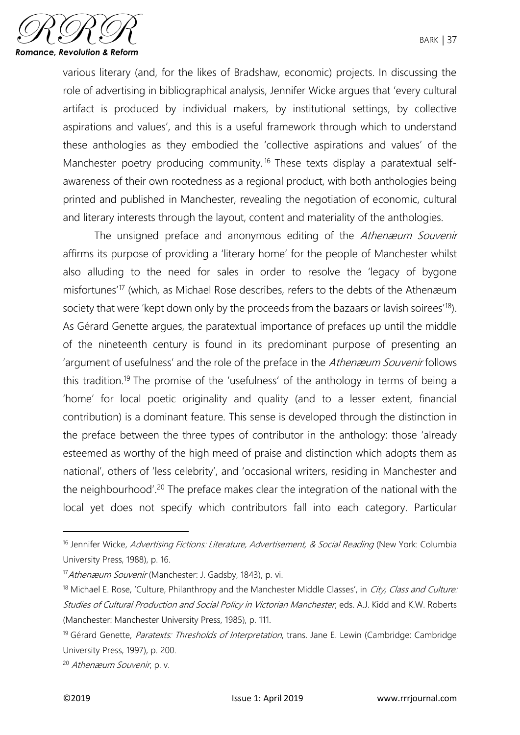

various literary (and, for the likes of Bradshaw, economic) projects. In discussing the role of advertising in bibliographical analysis, Jennifer Wicke argues that 'every cultural artifact is produced by individual makers, by institutional settings, by collective aspirations and values', and this is a useful framework through which to understand these anthologies as they embodied the 'collective aspirations and values' of the Manchester poetry producing community.<sup>16</sup> These texts display a paratextual selfawareness of their own rootedness as a regional product, with both anthologies being printed and published in Manchester, revealing the negotiation of economic, cultural and literary interests through the layout, content and materiality of the anthologies.

The unsigned preface and anonymous editing of the Athenæum Souvenir affirms its purpose of providing a 'literary home' for the people of Manchester whilst also alluding to the need for sales in order to resolve the 'legacy of bygone misfortunes'<sup>17</sup> (which, as Michael Rose describes, refers to the debts of the Athenæum society that were 'kept down only by the proceeds from the bazaars or lavish soirees'<sup>18</sup>). As Gérard Genette argues, the paratextual importance of prefaces up until the middle of the nineteenth century is found in its predominant purpose of presenting an 'argument of usefulness' and the role of the preface in the Athenæum Souvenir follows this tradition.<sup>19</sup> The promise of the 'usefulness' of the anthology in terms of being a 'home' for local poetic originality and quality (and to a lesser extent, financial contribution) is a dominant feature. This sense is developed through the distinction in the preface between the three types of contributor in the anthology: those 'already esteemed as worthy of the high meed of praise and distinction which adopts them as national', others of 'less celebrity', and 'occasional writers, residing in Manchester and the neighbourhood'.<sup>20</sup> The preface makes clear the integration of the national with the local yet does not specify which contributors fall into each category. Particular

 $\overline{a}$ 

<sup>&</sup>lt;sup>16</sup> Jennifer Wicke, Advertising Fictions: Literature, Advertisement, & Social Reading (New York: Columbia University Press, 1988), p. 16.

<sup>17</sup> Athenæum Souvenir (Manchester: J. Gadsby, 1843), p. vi.

<sup>&</sup>lt;sup>18</sup> Michael E. Rose, 'Culture, Philanthropy and the Manchester Middle Classes', in *City, Class and Culture:* Studies of Cultural Production and Social Policy in Victorian Manchester, eds. A.J. Kidd and K.W. Roberts (Manchester: Manchester University Press, 1985), p. 111.

<sup>&</sup>lt;sup>19</sup> Gérard Genette, Paratexts: Thresholds of Interpretation, trans. Jane E. Lewin (Cambridge: Cambridge University Press, 1997), p. 200.

<sup>20</sup> Athenæum Souvenir, p. v.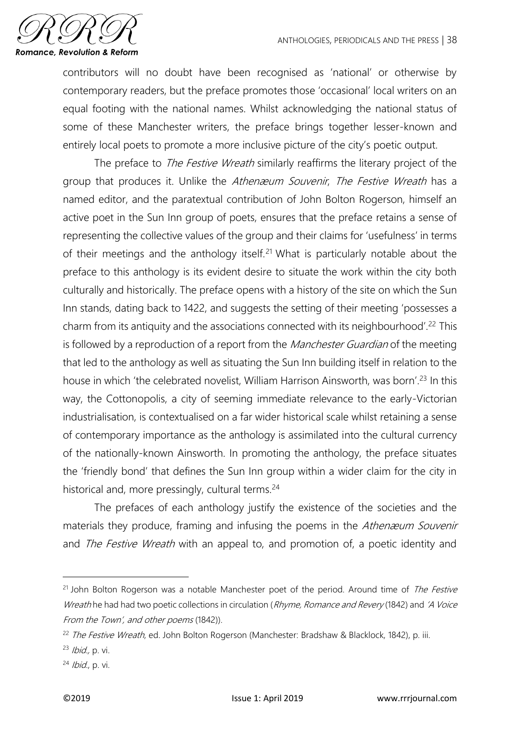

contributors will no doubt have been recognised as 'national' or otherwise by contemporary readers, but the preface promotes those 'occasional' local writers on an equal footing with the national names. Whilst acknowledging the national status of some of these Manchester writers, the preface brings together lesser-known and entirely local poets to promote a more inclusive picture of the city's poetic output.

The preface to *The Festive Wreath* similarly reaffirms the literary project of the group that produces it. Unlike the Athenæum Souvenir, The Festive Wreath has a named editor, and the paratextual contribution of John Bolton Rogerson, himself an active poet in the Sun Inn group of poets, ensures that the preface retains a sense of representing the collective values of the group and their claims for 'usefulness' in terms of their meetings and the anthology itself.<sup>21</sup> What is particularly notable about the preface to this anthology is its evident desire to situate the work within the city both culturally and historically. The preface opens with a history of the site on which the Sun Inn stands, dating back to 1422, and suggests the setting of their meeting 'possesses a charm from its antiquity and the associations connected with its neighbourhood'.<sup>22</sup> This is followed by a reproduction of a report from the *Manchester Guardian* of the meeting that led to the anthology as well as situating the Sun Inn building itself in relation to the house in which 'the celebrated novelist, William Harrison Ainsworth, was born'.<sup>23</sup> In this way, the Cottonopolis, a city of seeming immediate relevance to the early-Victorian industrialisation, is contextualised on a far wider historical scale whilst retaining a sense of contemporary importance as the anthology is assimilated into the cultural currency of the nationally-known Ainsworth. In promoting the anthology, the preface situates the 'friendly bond' that defines the Sun Inn group within a wider claim for the city in historical and, more pressingly, cultural terms.<sup>24</sup>

The prefaces of each anthology justify the existence of the societies and the materials they produce, framing and infusing the poems in the Athenæum Souvenir and The Festive Wreath with an appeal to, and promotion of, a poetic identity and

 $21$  John Bolton Rogerson was a notable Manchester poet of the period. Around time of *The Festive* Wreath he had had two poetic collections in circulation (Rhyme, Romance and Revery (1842) and 'A Voice From the Town', and other poems (1842)).

<sup>&</sup>lt;sup>22</sup> The Festive Wreath, ed. John Bolton Rogerson (Manchester: Bradshaw & Blacklock, 1842), p. iii.

 $23$  *Ibid.*, p. vi.

<sup>24</sup> Ibid., p. vi.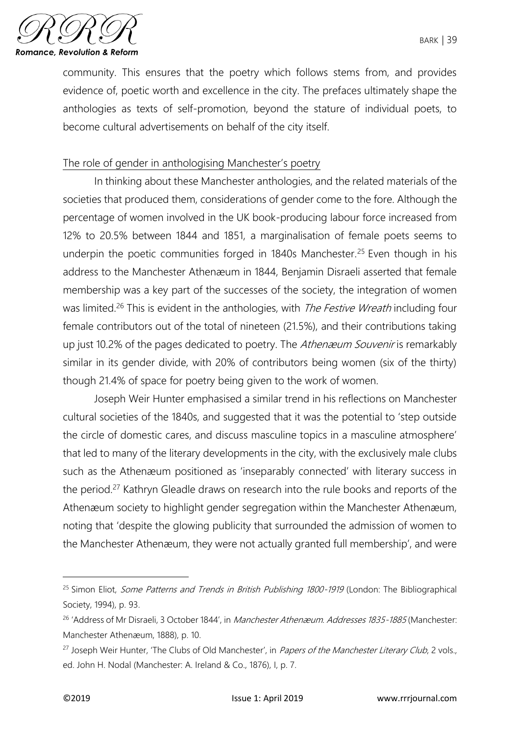

community. This ensures that the poetry which follows stems from, and provides evidence of, poetic worth and excellence in the city. The prefaces ultimately shape the anthologies as texts of self-promotion, beyond the stature of individual poets, to become cultural advertisements on behalf of the city itself.

## The role of gender in anthologising Manchester's poetry

In thinking about these Manchester anthologies, and the related materials of the societies that produced them, considerations of gender come to the fore. Although the percentage of women involved in the UK book-producing labour force increased from 12% to 20.5% between 1844 and 1851, a marginalisation of female poets seems to underpin the poetic communities forged in 1840s Manchester.<sup>25</sup> Even though in his address to the Manchester Athenæum in 1844, Benjamin Disraeli asserted that female membership was a key part of the successes of the society, the integration of women was limited.<sup>26</sup> This is evident in the anthologies, with *The Festive Wreath* including four female contributors out of the total of nineteen (21.5%), and their contributions taking up just 10.2% of the pages dedicated to poetry. The Athen *zouvenir* is remarkably similar in its gender divide, with 20% of contributors being women (six of the thirty) though 21.4% of space for poetry being given to the work of women.

Joseph Weir Hunter emphasised a similar trend in his reflections on Manchester cultural societies of the 1840s, and suggested that it was the potential to 'step outside the circle of domestic cares, and discuss masculine topics in a masculine atmosphere' that led to many of the literary developments in the city, with the exclusively male clubs such as the Athenæum positioned as 'inseparably connected' with literary success in the period.<sup>27</sup> Kathryn Gleadle draws on research into the rule books and reports of the Athenæum society to highlight gender segregation within the Manchester Athenæum, noting that 'despite the glowing publicity that surrounded the admission of women to the Manchester Athenæum, they were not actually granted full membership', and were

<sup>&</sup>lt;sup>25</sup> Simon Eliot, *Some Patterns and Trends in British Publishing 1800-1919* (London: The Bibliographical Society, 1994), p. 93.

<sup>&</sup>lt;sup>26</sup> 'Address of Mr Disraeli, 3 October 1844', in *Manchester Athenæum. Addresses 1835-1885* (Manchester: Manchester Athenæum, 1888), p. 10.

<sup>&</sup>lt;sup>27</sup> Joseph Weir Hunter, 'The Clubs of Old Manchester', in Papers of the Manchester Literary Club, 2 vols., ed. John H. Nodal (Manchester: A. Ireland & Co., 1876), I, p. 7.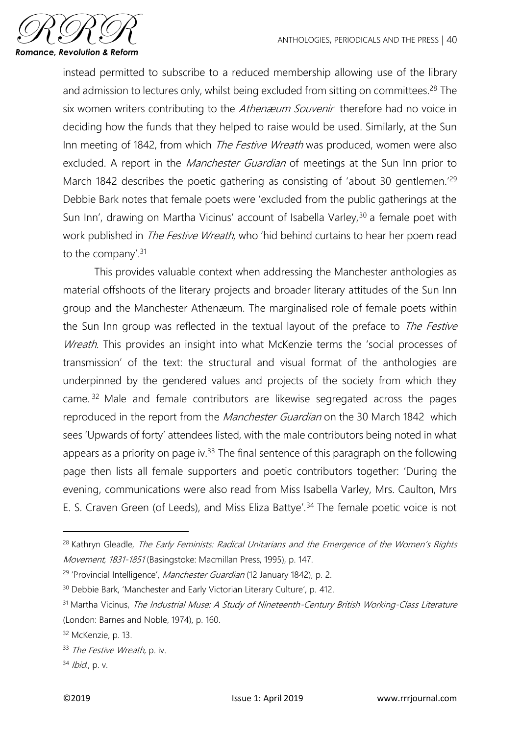

instead permitted to subscribe to a reduced membership allowing use of the library and admission to lectures only, whilst being excluded from sitting on committees.<sup>28</sup> The six women writers contributing to the Athenæum Souvenir therefore had no voice in deciding how the funds that they helped to raise would be used. Similarly, at the Sun Inn meeting of 1842, from which *The Festive Wreath* was produced, women were also excluded. A report in the *Manchester Guardian* of meetings at the Sun Inn prior to March 1842 describes the poetic gathering as consisting of 'about 30 gentlemen.<sup>'29</sup> Debbie Bark notes that female poets were 'excluded from the public gatherings at the Sun Inn', drawing on Martha Vicinus' account of Isabella Varley,<sup>30</sup> a female poet with work published in *The Festive Wreath*, who 'hid behind curtains to hear her poem read to the company'.<sup>31</sup>

This provides valuable context when addressing the Manchester anthologies as material offshoots of the literary projects and broader literary attitudes of the Sun Inn group and the Manchester Athenæum. The marginalised role of female poets within the Sun Inn group was reflected in the textual layout of the preface to *The Festive* Wreath. This provides an insight into what McKenzie terms the 'social processes of transmission' of the text: the structural and visual format of the anthologies are underpinned by the gendered values and projects of the society from which they came. <sup>32</sup> Male and female contributors are likewise segregated across the pages reproduced in the report from the *Manchester Guardian* on the 30 March 1842 which sees 'Upwards of forty' attendees listed, with the male contributors being noted in what appears as a priority on page iv. $33$  The final sentence of this paragraph on the following page then lists all female supporters and poetic contributors together: 'During the evening, communications were also read from Miss Isabella Varley, Mrs. Caulton, Mrs E. S. Craven Green (of Leeds), and Miss Eliza Battye'.<sup>34</sup> The female poetic voice is not

 $\overline{a}$ 

<sup>&</sup>lt;sup>28</sup> Kathryn Gleadle, The Early Feminists: Radical Unitarians and the Emergence of the Women's Rights Movement, 1831-1851 (Basingstoke: Macmillan Press, 1995), p. 147.

<sup>&</sup>lt;sup>29</sup> 'Provincial Intelligence', Manchester Guardian (12 January 1842), p. 2.

<sup>30</sup> Debbie Bark, 'Manchester and Early Victorian Literary Culture', p. 412.

<sup>&</sup>lt;sup>31</sup> Martha Vicinus, The Industrial Muse: A Study of Nineteenth-Century British Working-Class Literature (London: Barnes and Noble, 1974), p. 160.

<sup>32</sup> McKenzie, p. 13.

<sup>33</sup> The Festive Wreath, p. iv.

 $34$  *Ibid.*, p. v.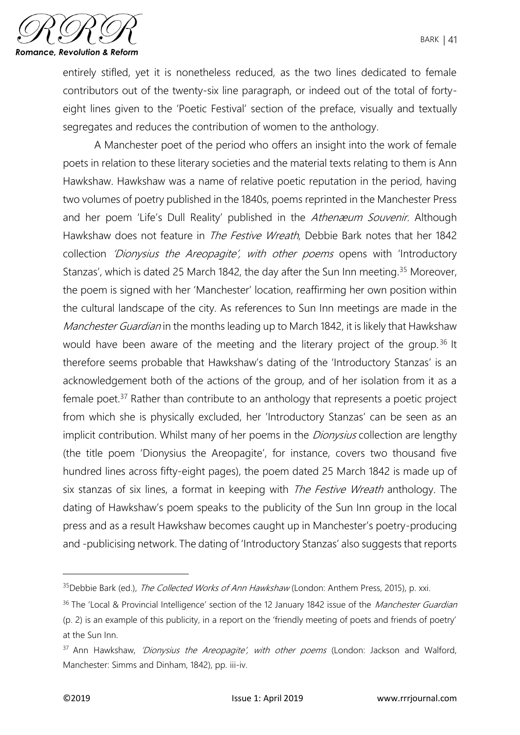

entirely stifled, yet it is nonetheless reduced, as the two lines dedicated to female contributors out of the twenty-six line paragraph, or indeed out of the total of fortyeight lines given to the 'Poetic Festival' section of the preface, visually and textually segregates and reduces the contribution of women to the anthology.

A Manchester poet of the period who offers an insight into the work of female poets in relation to these literary societies and the material texts relating to them is Ann Hawkshaw. Hawkshaw was a name of relative poetic reputation in the period, having two volumes of poetry published in the 1840s, poems reprinted in the Manchester Press and her poem 'Life's Dull Reality' published in the Athenæum Souvenir. Although Hawkshaw does not feature in *The Festive Wreath*, Debbie Bark notes that her 1842 collection 'Dionysius the Areopagite', with other poems opens with 'Introductory Stanzas', which is dated 25 March 1842, the day after the Sun Inn meeting.<sup>35</sup> Moreover, the poem is signed with her 'Manchester' location, reaffirming her own position within the cultural landscape of the city. As references to Sun Inn meetings are made in the Manchester Guardian in the months leading up to March 1842, it is likely that Hawkshaw would have been aware of the meeting and the literary project of the group.<sup>36</sup> It therefore seems probable that Hawkshaw's dating of the 'Introductory Stanzas' is an acknowledgement both of the actions of the group, and of her isolation from it as a female poet.<sup>37</sup> Rather than contribute to an anthology that represents a poetic project from which she is physically excluded, her 'Introductory Stanzas' can be seen as an implicit contribution. Whilst many of her poems in the *Dionysius* collection are lengthy (the title poem 'Dionysius the Areopagite', for instance, covers two thousand five hundred lines across fifty-eight pages), the poem dated 25 March 1842 is made up of six stanzas of six lines, a format in keeping with *The Festive Wreath* anthology. The dating of Hawkshaw's poem speaks to the publicity of the Sun Inn group in the local press and as a result Hawkshaw becomes caught up in Manchester's poetry-producing and -publicising network. The dating of 'Introductory Stanzas' also suggests that reports

1

<sup>&</sup>lt;sup>35</sup>Debbie Bark (ed.), The Collected Works of Ann Hawkshaw (London: Anthem Press, 2015), p. xxi.

<sup>&</sup>lt;sup>36</sup> The 'Local & Provincial Intelligence' section of the 12 January 1842 issue of the *Manchester Guardian* (p. 2) is an example of this publicity, in a report on the 'friendly meeting of poets and friends of poetry' at the Sun Inn.

<sup>&</sup>lt;sup>37</sup> Ann Hawkshaw, 'Dionysius the Areopagite', with other poems (London: Jackson and Walford, Manchester: Simms and Dinham, 1842), pp. iii-iv.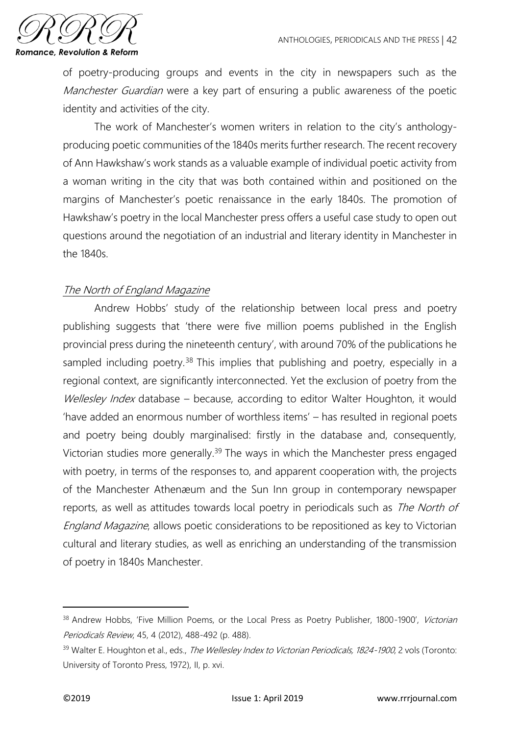

of poetry-producing groups and events in the city in newspapers such as the Manchester Guardian were a key part of ensuring a public awareness of the poetic identity and activities of the city.

The work of Manchester's women writers in relation to the city's anthologyproducing poetic communities of the 1840s merits further research. The recent recovery of Ann Hawkshaw's work stands as a valuable example of individual poetic activity from a woman writing in the city that was both contained within and positioned on the margins of Manchester's poetic renaissance in the early 1840s. The promotion of Hawkshaw's poetry in the local Manchester press offers a useful case study to open out questions around the negotiation of an industrial and literary identity in Manchester in the 1840s.

# The North of England Magazine

Andrew Hobbs' study of the relationship between local press and poetry publishing suggests that 'there were five million poems published in the English provincial press during the nineteenth century', with around 70% of the publications he sampled including poetry.<sup>38</sup> This implies that publishing and poetry, especially in a regional context, are significantly interconnected. Yet the exclusion of poetry from the Wellesley Index database – because, according to editor Walter Houghton, it would 'have added an enormous number of worthless items' – has resulted in regional poets and poetry being doubly marginalised: firstly in the database and, consequently, Victorian studies more generally.<sup>39</sup> The ways in which the Manchester press engaged with poetry, in terms of the responses to, and apparent cooperation with, the projects of the Manchester Athenæum and the Sun Inn group in contemporary newspaper reports, as well as attitudes towards local poetry in periodicals such as The North of England Magazine, allows poetic considerations to be repositioned as key to Victorian cultural and literary studies, as well as enriching an understanding of the transmission of poetry in 1840s Manchester.

<sup>&</sup>lt;sup>38</sup> Andrew Hobbs, 'Five Million Poems, or the Local Press as Poetry Publisher, 1800-1900', Victorian Periodicals Review, 45, 4 (2012), 488-492 (p. 488).

<sup>&</sup>lt;sup>39</sup> Walter E. Houghton et al., eds., *The Wellesley Index to Victorian Periodicals, 1824-1900*, 2 vols (Toronto: University of Toronto Press, 1972), II, p. xvi.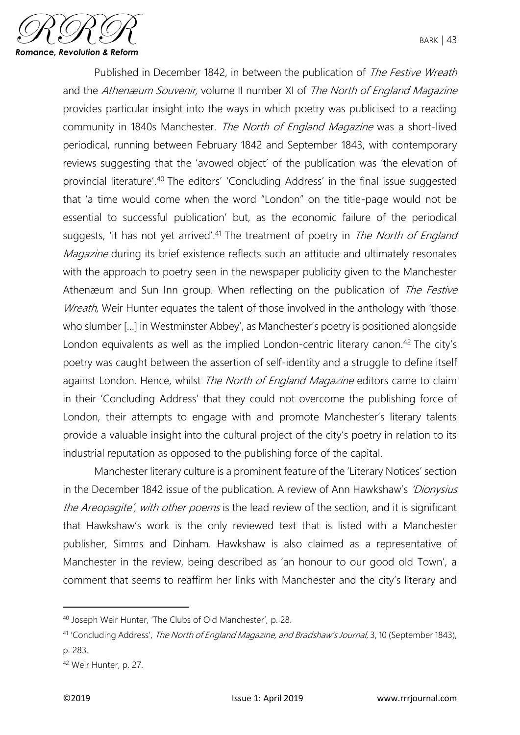

Published in December 1842, in between the publication of The Festive Wreath and the Athenæum Souvenir, volume II number XI of The North of England Magazine provides particular insight into the ways in which poetry was publicised to a reading community in 1840s Manchester. The North of England Magazine was a short-lived periodical, running between February 1842 and September 1843, with contemporary reviews suggesting that the 'avowed object' of the publication was 'the elevation of provincial literature'.<sup>40</sup> The editors' 'Concluding Address' in the final issue suggested that 'a time would come when the word "London" on the title-page would not be essential to successful publication' but, as the economic failure of the periodical suggests, 'it has not yet arrived'.<sup>41</sup> The treatment of poetry in *The North of England Magazine* during its brief existence reflects such an attitude and ultimately resonates with the approach to poetry seen in the newspaper publicity given to the Manchester Athenæum and Sun Inn group. When reflecting on the publication of The Festive Wreath, Weir Hunter equates the talent of those involved in the anthology with 'those who slumber […] in Westminster Abbey', as Manchester's poetry is positioned alongside London equivalents as well as the implied London-centric literary canon.<sup>42</sup> The city's poetry was caught between the assertion of self-identity and a struggle to define itself against London. Hence, whilst The North of England Magazine editors came to claim in their 'Concluding Address' that they could not overcome the publishing force of London, their attempts to engage with and promote Manchester's literary talents provide a valuable insight into the cultural project of the city's poetry in relation to its industrial reputation as opposed to the publishing force of the capital.

Manchester literary culture is a prominent feature of the 'Literary Notices' section in the December 1842 issue of the publication. A review of Ann Hawkshaw's 'Dionysius' the Areopagite', with other poems is the lead review of the section, and it is significant that Hawkshaw's work is the only reviewed text that is listed with a Manchester publisher, Simms and Dinham. Hawkshaw is also claimed as a representative of Manchester in the review, being described as 'an honour to our good old Town', a comment that seems to reaffirm her links with Manchester and the city's literary and

<sup>40</sup> Joseph Weir Hunter, 'The Clubs of Old Manchester', p. 28.

<sup>41</sup> 'Concluding Address', The North of England Magazine, and Bradshaw's Journal, 3, 10 (September 1843), p. 283.

<sup>42</sup> Weir Hunter, p. 27.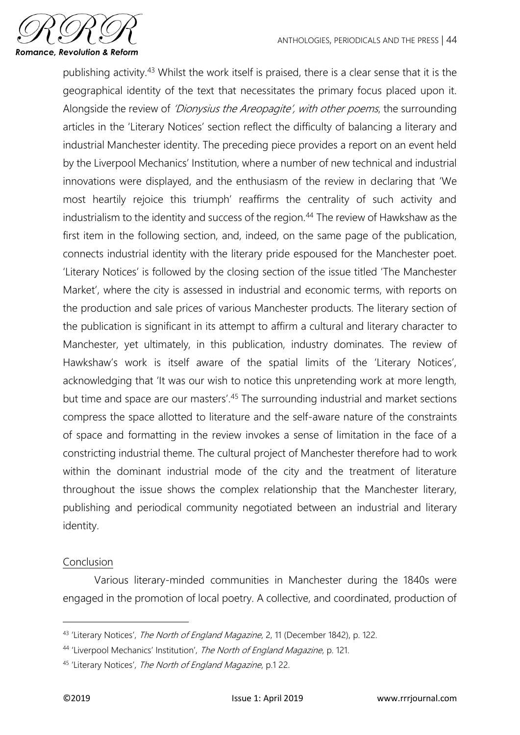

publishing activity.<sup>43</sup> Whilst the work itself is praised, there is a clear sense that it is the geographical identity of the text that necessitates the primary focus placed upon it. Alongside the review of 'Dionysius the Areopagite', with other poems, the surrounding articles in the 'Literary Notices' section reflect the difficulty of balancing a literary and industrial Manchester identity. The preceding piece provides a report on an event held by the Liverpool Mechanics' Institution, where a number of new technical and industrial innovations were displayed, and the enthusiasm of the review in declaring that 'We most heartily rejoice this triumph' reaffirms the centrality of such activity and industrialism to the identity and success of the region.<sup>44</sup> The review of Hawkshaw as the first item in the following section, and, indeed, on the same page of the publication, connects industrial identity with the literary pride espoused for the Manchester poet. 'Literary Notices' is followed by the closing section of the issue titled 'The Manchester Market', where the city is assessed in industrial and economic terms, with reports on the production and sale prices of various Manchester products. The literary section of the publication is significant in its attempt to affirm a cultural and literary character to Manchester, yet ultimately, in this publication, industry dominates. The review of Hawkshaw's work is itself aware of the spatial limits of the 'Literary Notices', acknowledging that 'It was our wish to notice this unpretending work at more length, but time and space are our masters'.<sup>45</sup> The surrounding industrial and market sections compress the space allotted to literature and the self-aware nature of the constraints of space and formatting in the review invokes a sense of limitation in the face of a constricting industrial theme. The cultural project of Manchester therefore had to work within the dominant industrial mode of the city and the treatment of literature throughout the issue shows the complex relationship that the Manchester literary, publishing and periodical community negotiated between an industrial and literary identity.

#### Conclusion

Various literary-minded communities in Manchester during the 1840s were engaged in the promotion of local poetry. A collective, and coordinated, production of

<sup>&</sup>lt;sup>43</sup> 'Literary Notices', The North of England Magazine, 2, 11 (December 1842), p. 122.

<sup>44 &#</sup>x27;Liverpool Mechanics' Institution', The North of England Magazine, p. 121.

<sup>45 &#</sup>x27;Literary Notices', The North of England Magazine, p.1 22.